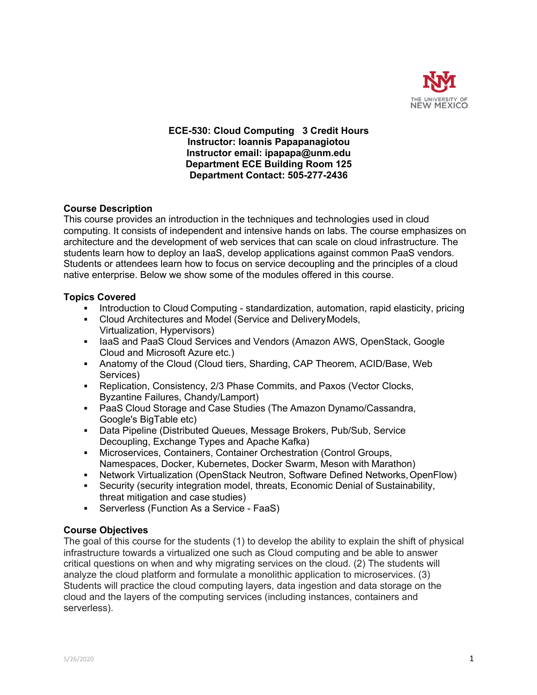

### **ECE-530: Cloud Computing 3 Credit Hours Instructor: Ioannis Papapanagiotou Instructor email: ipapapa@unm.edu Department ECE Building Room 125 Department Contact: 505-277-2436**

## **Course Description**

This course provides an introduction in the techniques and technologies used in cloud computing. It consists of independent and intensive hands on labs. The course emphasizes on architecture and the development of web services that can scale on cloud infrastructure. The students learn how to deploy an IaaS, develop applications against common PaaS vendors. Students or attendees learn how to focus on service decoupling and the principles of a cloud native enterprise. Below we show some of the modules offered in this course.

### **Topics Covered**

- Introduction to Cloud Computing standardization, automation, rapid elasticity, pricing
- § Cloud Architectures and Model (Service and DeliveryModels, Virtualization, Hypervisors)
- IaaS and PaaS Cloud Services and Vendors (Amazon AWS, OpenStack, Google Cloud and Microsoft Azure etc.)
- § Anatomy of the Cloud (Cloud tiers, Sharding, CAP Theorem, ACID/Base, Web Services)
- Replication, Consistency, 2/3 Phase Commits, and Paxos (Vector Clocks, Byzantine Failures, Chandy/Lamport)
- PaaS Cloud Storage and Case Studies (The Amazon Dynamo/Cassandra, Google's BigTable etc)
- § Data Pipeline (Distributed Queues, Message Brokers, Pub/Sub, Service Decoupling, Exchange Types and Apache Kafka)
- § Microservices, Containers, Container Orchestration (Control Groups, Namespaces, Docker, Kubernetes, Docker Swarm, Meson with Marathon)
- Network Virtualization (OpenStack Neutron, Software Defined Networks, OpenFlow)
- § Security (security integration model, threats, Economic Denial of Sustainability, threat mitigation and case studies)
- **•** Serverless (Function As a Service FaaS)

## **Course Objectives**

The goal of this course for the students (1) to develop the ability to explain the shift of physical infrastructure towards a virtualized one such as Cloud computing and be able to answer critical questions on when and why migrating services on the cloud. (2) The students will analyze the cloud platform and formulate a monolithic application to microservices. (3) Students will practice the cloud computing layers, data ingestion and data storage on the cloud and the layers of the computing services (including instances, containers and serverless).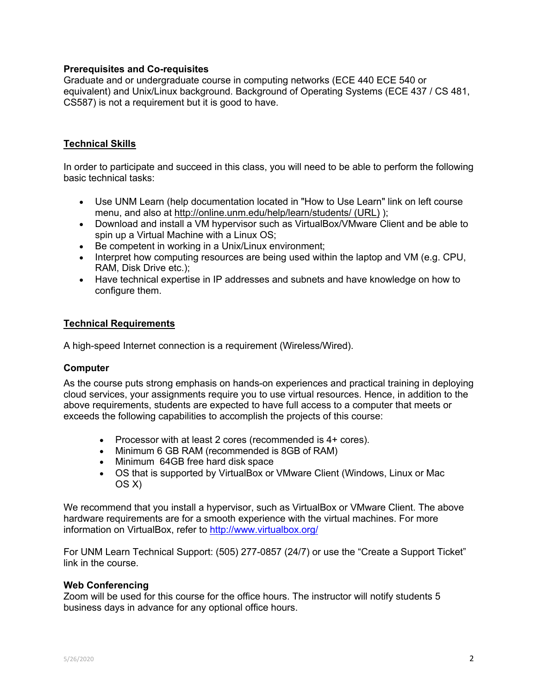### **Prerequisites and Co-requisites**

Graduate and or undergraduate course in computing networks (ECE 440 ECE 540 or equivalent) and Unix/Linux background. Background of Operating Systems (ECE 437 / CS 481, CS587) is not a requirement but it is good to have.

## **Technical Skills**

In order to participate and succeed in this class, you will need to be able to perform the following basic technical tasks:

- Use UNM Learn (help documentation located in "How to Use Learn" link on left course menu, and also at http://online.unm.edu/help/learn/students/ (URL) );
- Download and install a VM hypervisor such as VirtualBox/VMware Client and be able to spin up a Virtual Machine with a Linux OS;
- Be competent in working in a Unix/Linux environment;
- Interpret how computing resources are being used within the laptop and VM (e.g. CPU, RAM, Disk Drive etc.);
- Have technical expertise in IP addresses and subnets and have knowledge on how to configure them.

### **Technical Requirements**

A high-speed Internet connection is a requirement (Wireless/Wired).

### **Computer**

As the course puts strong emphasis on hands-on experiences and practical training in deploying cloud services, your assignments require you to use virtual resources. Hence, in addition to the above requirements, students are expected to have full access to a computer that meets or exceeds the following capabilities to accomplish the projects of this course:

- Processor with at least 2 cores (recommended is 4+ cores).
- Minimum 6 GB RAM (recommended is 8GB of RAM)
- Minimum 64GB free hard disk space
- OS that is supported by VirtualBox or VMware Client (Windows, Linux or Mac OS X)

We recommend that you install a hypervisor, such as VirtualBox or VMware Client. The above hardware requirements are for a smooth experience with the virtual machines. For more information on VirtualBox, refer to http://www.virtualbox.org/

For UNM Learn Technical Support: (505) 277-0857 (24/7) or use the "Create a Support Ticket" link in the course.

### **Web Conferencing**

Zoom will be used for this course for the office hours. The instructor will notify students 5 business days in advance for any optional office hours.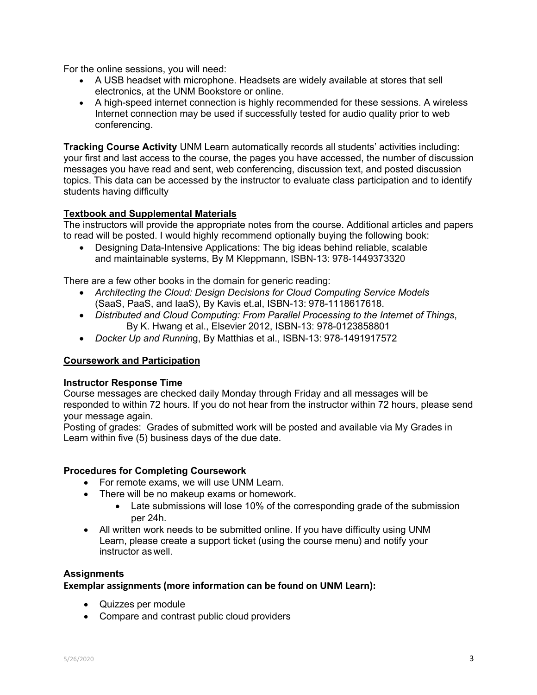For the online sessions, you will need:

- A USB headset with microphone. Headsets are widely available at stores that sell electronics, at the UNM Bookstore or online.
- A high-speed internet connection is highly recommended for these sessions. A wireless Internet connection may be used if successfully tested for audio quality prior to web conferencing.

**Tracking Course Activity** UNM Learn automatically records all students' activities including: your first and last access to the course, the pages you have accessed, the number of discussion messages you have read and sent, web conferencing, discussion text, and posted discussion topics. This data can be accessed by the instructor to evaluate class participation and to identify students having difficulty

# **Textbook and Supplemental Materials**

The instructors will provide the appropriate notes from the course. Additional articles and papers to read will be posted. I would highly recommend optionally buying the following book:

• Designing Data-Intensive Applications: The big ideas behind reliable, scalable and maintainable systems, By M Kleppmann, ISBN-13: 978-1449373320

There are a few other books in the domain for generic reading:

- *Architecting the Cloud: Design Decisions for Cloud Computing Service Models*  (SaaS, PaaS, and IaaS), By Kavis et.al, ISBN-13: 978-1118617618.
- *Distributed and Cloud Computing: From Parallel Processing to the Internet of Things*, By K. Hwang et al., Elsevier 2012, ISBN-13: 978-0123858801
- *Docker Up and Runnin*g, By Matthias et al., ISBN-13: 978-1491917572

## **Coursework and Participation**

## **Instructor Response Time**

Course messages are checked daily Monday through Friday and all messages will be responded to within 72 hours. If you do not hear from the instructor within 72 hours, please send your message again.

Posting of grades: Grades of submitted work will be posted and available via My Grades in Learn within five (5) business days of the due date.

### **Procedures for Completing Coursework**

- For remote exams, we will use UNM Learn.
- There will be no makeup exams or homework.
	- Late submissions will lose 10% of the corresponding grade of the submission per 24h.
- All written work needs to be submitted online. If you have difficulty using UNM Learn, please create a support ticket (using the course menu) and notify your instructor as well.

### **Assignments**

### **Exemplar assignments (more information can be found on UNM Learn):**

- Quizzes per module
- Compare and contrast public cloud providers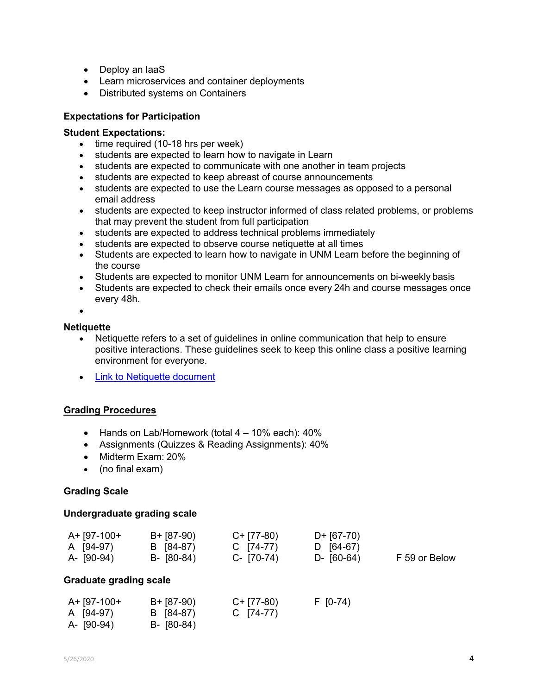- Deploy an IaaS
- Learn microservices and container deployments
- Distributed systems on Containers

## **Expectations for Participation**

### **Student Expectations:**

- time required (10-18 hrs per week)
- students are expected to learn how to navigate in Learn
- students are expected to communicate with one another in team projects
- students are expected to keep abreast of course announcements
- students are expected to use the Learn course messages as opposed to a personal email address
- students are expected to keep instructor informed of class related problems, or problems that may prevent the student from full participation
- students are expected to address technical problems immediately
- students are expected to observe course netiquette at all times
- Students are expected to learn how to navigate in UNM Learn before the beginning of the course
- Students are expected to monitor UNM Learn for announcements on bi-weekly basis
- Students are expected to check their emails once every 24h and course messages once every 48h.

•

### **Netiquette**

- Netiquette refers to a set of guidelines in online communication that help to ensure positive interactions. These guidelines seek to keep this online class a positive learning environment for everyone.
- Link to Netiquette document

## **Grading Procedures**

- Hands on Lab/Homework (total 4 10% each): 40%
- Assignments (Quizzes & Reading Assignments): 40%
- Midterm Exam: 20%
- (no final exam)

### **Grading Scale**

### **Undergraduate grading scale**

| A+ [97-100+ | $B + [87-90)$ | C+ [77-80)    | D+ [67-70) |               |
|-------------|---------------|---------------|------------|---------------|
| A (94-97)   | B (84-87)     | C [74-77)     | D [64-67)  |               |
| A- (90-94)  | B- (80-84)    | $C - [70-74]$ | D- (60-64) | F 59 or Below |

### **Graduate grading scale**

| A+ [97-100+ | $B + [87-90)$ | $C+$ [77-80) | $F$ [0-74) |
|-------------|---------------|--------------|------------|
| A [94-97)   | B (84-87)     | C $[74-77]$  |            |
| A- (90-94)  | $B - [80-84]$ |              |            |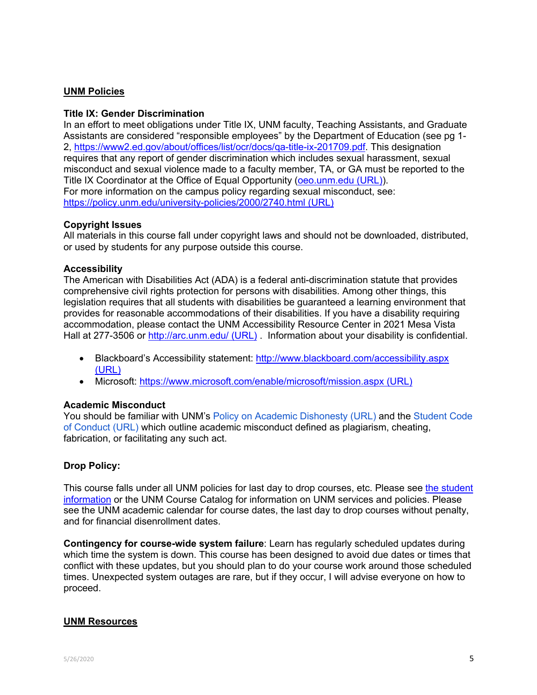# **UNM Policies**

### **Title IX: Gender Discrimination**

In an effort to meet obligations under Title IX, UNM faculty, Teaching Assistants, and Graduate Assistants are considered "responsible employees" by the Department of Education (see pg 1- 2, https://www2.ed.gov/about/offices/list/ocr/docs/qa-title-ix-201709.pdf. This designation requires that any report of gender discrimination which includes sexual harassment, sexual misconduct and sexual violence made to a faculty member, TA, or GA must be reported to the Title IX Coordinator at the Office of Equal Opportunity (oeo.unm.edu (URL)). For more information on the campus policy regarding sexual misconduct, see: https://policy.unm.edu/university-policies/2000/2740.html (URL)

### **Copyright Issues**

All materials in this course fall under copyright laws and should not be downloaded, distributed, or used by students for any purpose outside this course.

### **Accessibility**

The American with Disabilities Act (ADA) is a federal anti-discrimination statute that provides comprehensive civil rights protection for persons with disabilities. Among other things, this legislation requires that all students with disabilities be guaranteed a learning environment that provides for reasonable accommodations of their disabilities. If you have a disability requiring accommodation, please contact the UNM Accessibility Resource Center in 2021 Mesa Vista Hall at 277-3506 or http://arc.unm.edu/ (URL) . Information about your disability is confidential.

- Blackboard's Accessibility statement: http://www.blackboard.com/accessibility.aspx (URL)
- Microsoft: https://www.microsoft.com/enable/microsoft/mission.aspx (URL)

### **Academic Misconduct**

You should be familiar with UNM's Policy on Academic Dishonesty (URL) and the Student Code of Conduct (URL) which outline academic misconduct defined as plagiarism, cheating, fabrication, or facilitating any such act.

### **Drop Policy:**

This course falls under all UNM policies for last day to drop courses, etc. Please see the student information or the UNM Course Catalog for information on UNM services and policies. Please see the UNM academic calendar for course dates, the last day to drop courses without penalty, and for financial disenrollment dates.

**Contingency for course-wide system failure**: Learn has regularly scheduled updates during which time the system is down. This course has been designed to avoid due dates or times that conflict with these updates, but you should plan to do your course work around those scheduled times. Unexpected system outages are rare, but if they occur, I will advise everyone on how to proceed.

### **UNM Resources**